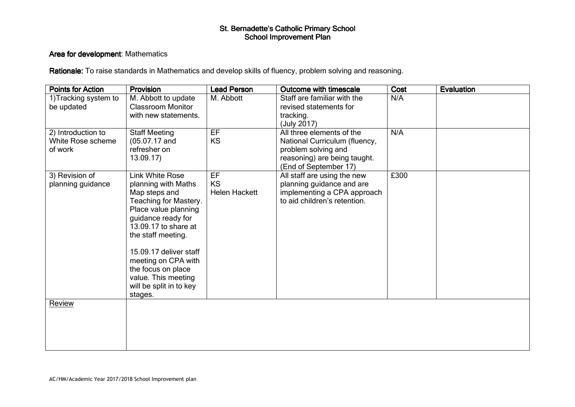#### Area for development: Mathematics

| <b>Points for Action</b> | Provision                | <b>Lead Person</b>   | Outcome with timescale        | Cost | Evaluation |
|--------------------------|--------------------------|----------------------|-------------------------------|------|------------|
| 1) Tracking system to    | M. Abbott to update      | M. Abbott            | Staff are familiar with the   | N/A  |            |
| be updated               | <b>Classroom Monitor</b> |                      | revised statements for        |      |            |
|                          | with new statements.     |                      | tracking.                     |      |            |
|                          |                          |                      | (July 2017)                   |      |            |
| 2) Introduction to       | <b>Staff Meeting</b>     | EF                   | All three elements of the     | N/A  |            |
| White Rose scheme        | $(05.07.17$ and          | <b>KS</b>            | National Curriculum (fluency, |      |            |
| of work                  | refresher on             |                      | problem solving and           |      |            |
|                          | 13.09.17                 |                      | reasoning) are being taught.  |      |            |
|                          |                          |                      | (End of September 17)         |      |            |
| 3) Revision of           | <b>Link White Rose</b>   | EF                   | All staff are using the new   | £300 |            |
| planning guidance        | planning with Maths      | <b>KS</b>            | planning guidance and are     |      |            |
|                          | Map steps and            | <b>Helen Hackett</b> | implementing a CPA approach   |      |            |
|                          | Teaching for Mastery.    |                      | to aid children's retention.  |      |            |
|                          | Place value planning     |                      |                               |      |            |
|                          | guidance ready for       |                      |                               |      |            |
|                          | 13.09.17 to share at     |                      |                               |      |            |
|                          | the staff meeting.       |                      |                               |      |            |
|                          | 15.09.17 deliver staff   |                      |                               |      |            |
|                          | meeting on CPA with      |                      |                               |      |            |
|                          | the focus on place       |                      |                               |      |            |
|                          | value. This meeting      |                      |                               |      |            |
|                          | will be split in to key  |                      |                               |      |            |
|                          | stages.                  |                      |                               |      |            |
| Review                   |                          |                      |                               |      |            |
|                          |                          |                      |                               |      |            |
|                          |                          |                      |                               |      |            |
|                          |                          |                      |                               |      |            |
|                          |                          |                      |                               |      |            |
|                          |                          |                      |                               |      |            |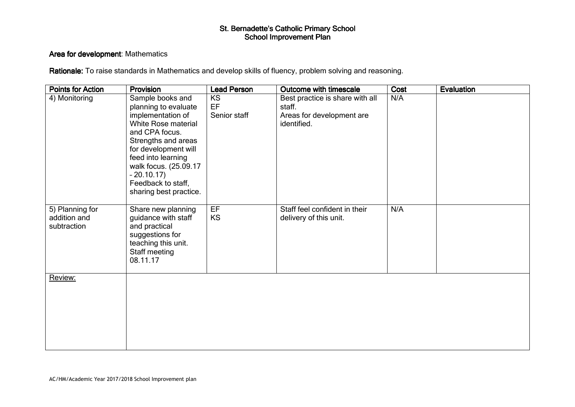#### Area for development: Mathematics

| <b>Points for Action</b>                       | Provision                                                                                                                                                                                                                                                           | <b>Lead Person</b>              | Outcome with timescale                                                                | Cost | Evaluation |
|------------------------------------------------|---------------------------------------------------------------------------------------------------------------------------------------------------------------------------------------------------------------------------------------------------------------------|---------------------------------|---------------------------------------------------------------------------------------|------|------------|
| 4) Monitoring                                  | Sample books and<br>planning to evaluate<br>implementation of<br>White Rose material<br>and CPA focus.<br>Strengths and areas<br>for development will<br>feed into learning<br>walk focus. (25.09.17<br>$-20.10.17$<br>Feedback to staff,<br>sharing best practice. | <b>KS</b><br>EF<br>Senior staff | Best practice is share with all<br>staff.<br>Areas for development are<br>identified. | N/A  |            |
| 5) Planning for<br>addition and<br>subtraction | Share new planning<br>guidance with staff<br>and practical<br>suggestions for<br>teaching this unit.<br>Staff meeting<br>08.11.17                                                                                                                                   | EF<br>KS                        | Staff feel confident in their<br>delivery of this unit.                               | N/A  |            |
| Review:                                        |                                                                                                                                                                                                                                                                     |                                 |                                                                                       |      |            |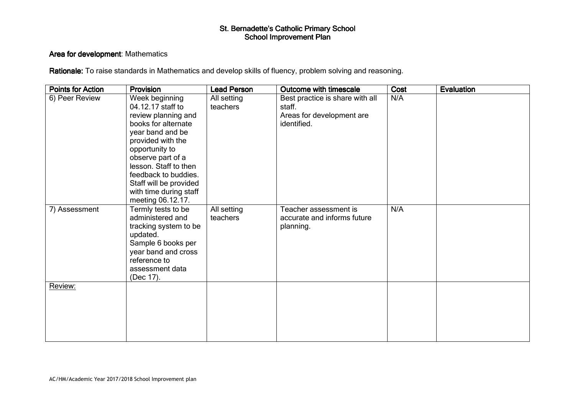#### Area for development: Mathematics

| <b>Points for Action</b> | Provision                                                                                                                                                                                                                                                                                   | <b>Lead Person</b>      | Outcome with timescale                                                                | Cost | Evaluation |
|--------------------------|---------------------------------------------------------------------------------------------------------------------------------------------------------------------------------------------------------------------------------------------------------------------------------------------|-------------------------|---------------------------------------------------------------------------------------|------|------------|
| 6) Peer Review           | Week beginning<br>04.12.17 staff to<br>review planning and<br>books for alternate<br>year band and be<br>provided with the<br>opportunity to<br>observe part of a<br>lesson. Staff to then<br>feedback to buddies.<br>Staff will be provided<br>with time during staff<br>meeting 06.12.17. | All setting<br>teachers | Best practice is share with all<br>staff.<br>Areas for development are<br>identified. | N/A  |            |
| 7) Assessment            | Termly tests to be<br>administered and<br>tracking system to be<br>updated.<br>Sample 6 books per<br>year band and cross<br>reference to<br>assessment data<br>(Dec 17).                                                                                                                    | All setting<br>teachers | Teacher assessment is<br>accurate and informs future<br>planning.                     | N/A  |            |
| Review:                  |                                                                                                                                                                                                                                                                                             |                         |                                                                                       |      |            |